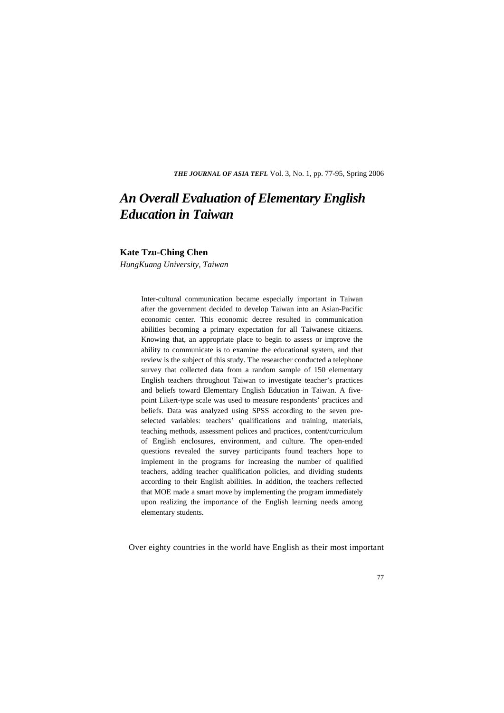*THE JOURNAL OF ASIA TEFL* Vol. 3, No. 1, pp. 77-95, Spring 2006

# *An Overall Evaluation of Elementary English Education in Taiwan*

## **Kate Tzu-Ching Chen**

*HungKuang University, Taiwan* 

Inter-cultural communication became especially important in Taiwan after the government decided to develop Taiwan into an Asian-Pacific economic center. This economic decree resulted in communication abilities becoming a primary expectation for all Taiwanese citizens. Knowing that, an appropriate place to begin to assess or improve the ability to communicate is to examine the educational system, and that review is the subject of this study. The researcher conducted a telephone survey that collected data from a random sample of 150 elementary English teachers throughout Taiwan to investigate teacher's practices and beliefs toward Elementary English Education in Taiwan. A fivepoint Likert-type scale was used to measure respondents' practices and beliefs. Data was analyzed using SPSS according to the seven preselected variables: teachers' qualifications and training, materials, teaching methods, assessment polices and practices, content/curriculum of English enclosures, environment, and culture. The open-ended questions revealed the survey participants found teachers hope to implement in the programs for increasing the number of qualified teachers, adding teacher qualification policies, and dividing students according to their English abilities. In addition, the teachers reflected that MOE made a smart move by implementing the program immediately upon realizing the importance of the English learning needs among elementary students.

Over eighty countries in the world have English as their most important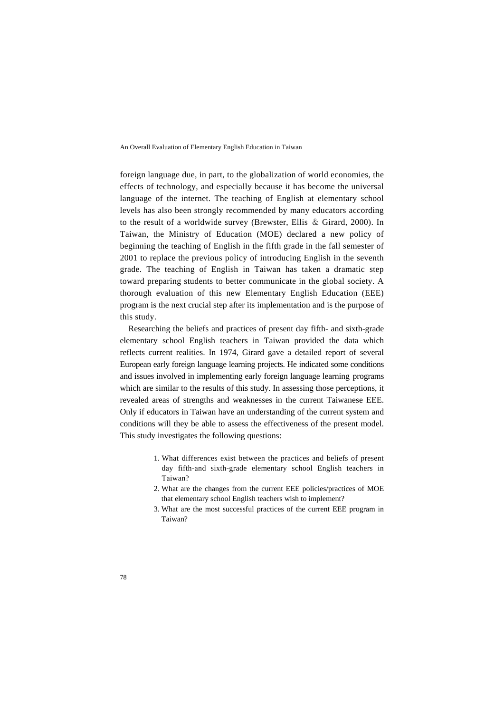foreign language due, in part, to the globalization of world economies, the effects of technology, and especially because it has become the universal language of the internet. The teaching of English at elementary school levels has also been strongly recommended by many educators according to the result of a worldwide survey (Brewster, Ellis & Girard, 2000). In Taiwan, the Ministry of Education (MOE) declared a new policy of beginning the teaching of English in the fifth grade in the fall semester of 2001 to replace the previous policy of introducing English in the seventh grade. The teaching of English in Taiwan has taken a dramatic step toward preparing students to better communicate in the global society. A thorough evaluation of this new Elementary English Education (EEE) program is the next crucial step after its implementation and is the purpose of this study.

Researching the beliefs and practices of present day fifth- and sixth-grade elementary school English teachers in Taiwan provided the data which reflects current realities. In 1974, Girard gave a detailed report of several European early foreign language learning projects. He indicated some conditions and issues involved in implementing early foreign language learning programs which are similar to the results of this study. In assessing those perceptions, it revealed areas of strengths and weaknesses in the current Taiwanese EEE. Only if educators in Taiwan have an understanding of the current system and conditions will they be able to assess the effectiveness of the present model. This study investigates the following questions:

- 1. What differences exist between the practices and beliefs of present day fifth-and sixth-grade elementary school English teachers in Taiwan?
- 2. What are the changes from the current EEE policies/practices of MOE that elementary school English teachers wish to implement?
- 3. What are the most successful practices of the current EEE program in Taiwan?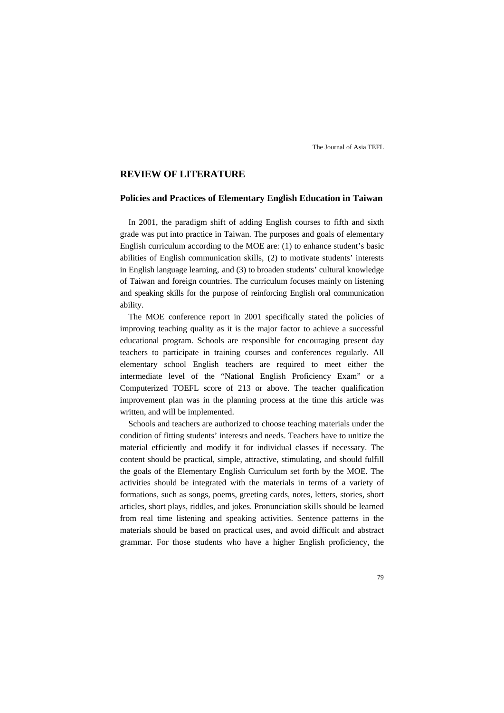# **REVIEW OF LITERATURE**

# **Policies and Practices of Elementary English Education in Taiwan**

In 2001, the paradigm shift of adding English courses to fifth and sixth grade was put into practice in Taiwan. The purposes and goals of elementary English curriculum according to the MOE are: (1) to enhance student's basic abilities of English communication skills, (2) to motivate students' interests in English language learning, and (3) to broaden students' cultural knowledge of Taiwan and foreign countries. The curriculum focuses mainly on listening and speaking skills for the purpose of reinforcing English oral communication ability.

The MOE conference report in 2001 specifically stated the policies of improving teaching quality as it is the major factor to achieve a successful educational program. Schools are responsible for encouraging present day teachers to participate in training courses and conferences regularly. All elementary school English teachers are required to meet either the intermediate level of the "National English Proficiency Exam" or a Computerized TOEFL score of 213 or above. The teacher qualification improvement plan was in the planning process at the time this article was written, and will be implemented.

Schools and teachers are authorized to choose teaching materials under the condition of fitting students' interests and needs. Teachers have to unitize the material efficiently and modify it for individual classes if necessary. The content should be practical, simple, attractive, stimulating, and should fulfill the goals of the Elementary English Curriculum set forth by the MOE. The activities should be integrated with the materials in terms of a variety of formations, such as songs, poems, greeting cards, notes, letters, stories, short articles, short plays, riddles, and jokes. Pronunciation skills should be learned from real time listening and speaking activities. Sentence patterns in the materials should be based on practical uses, and avoid difficult and abstract grammar. For those students who have a higher English proficiency, the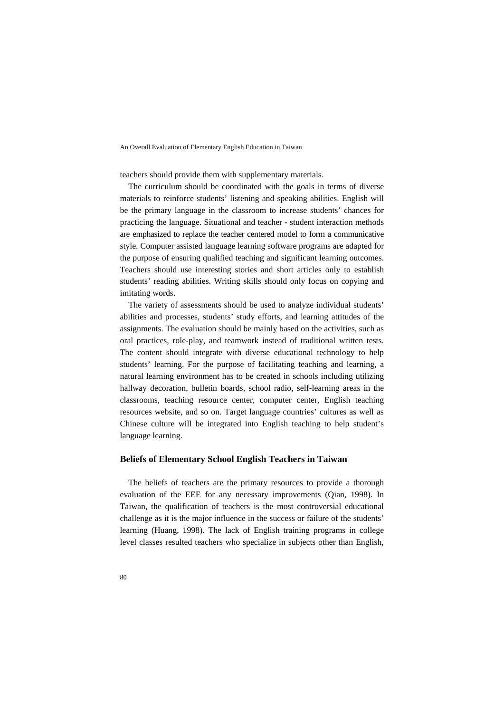teachers should provide them with supplementary materials.

The curriculum should be coordinated with the goals in terms of diverse materials to reinforce students' listening and speaking abilities. English will be the primary language in the classroom to increase students' chances for practicing the language. Situational and teacher - student interaction methods are emphasized to replace the teacher centered model to form a communicative style. Computer assisted language learning software programs are adapted for the purpose of ensuring qualified teaching and significant learning outcomes. Teachers should use interesting stories and short articles only to establish students' reading abilities. Writing skills should only focus on copying and imitating words.

The variety of assessments should be used to analyze individual students' abilities and processes, students' study efforts, and learning attitudes of the assignments. The evaluation should be mainly based on the activities, such as oral practices, role-play, and teamwork instead of traditional written tests. The content should integrate with diverse educational technology to help students' learning. For the purpose of facilitating teaching and learning, a natural learning environment has to be created in schools including utilizing hallway decoration, bulletin boards, school radio, self-learning areas in the classrooms, teaching resource center, computer center, English teaching resources website, and so on. Target language countries' cultures as well as Chinese culture will be integrated into English teaching to help student's language learning.

# **Beliefs of Elementary School English Teachers in Taiwan**

The beliefs of teachers are the primary resources to provide a thorough evaluation of the EEE for any necessary improvements (Qian, 1998). In Taiwan, the qualification of teachers is the most controversial educational challenge as it is the major influence in the success or failure of the students' learning (Huang, 1998). The lack of English training programs in college level classes resulted teachers who specialize in subjects other than English,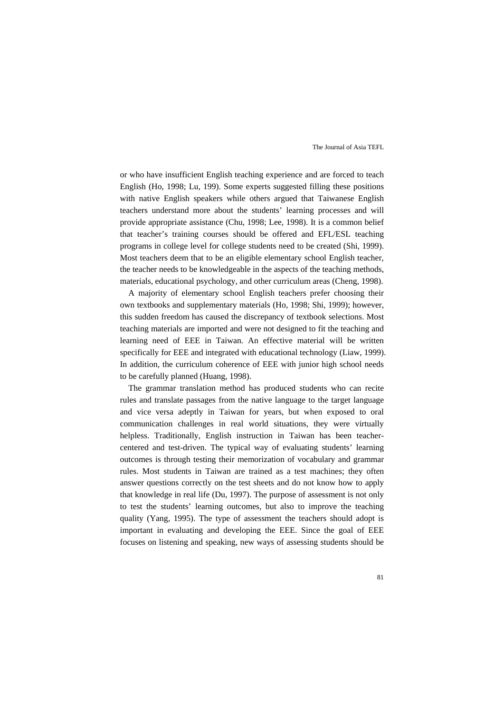or who have insufficient English teaching experience and are forced to teach English (Ho, 1998; Lu, 199). Some experts suggested filling these positions with native English speakers while others argued that Taiwanese English teachers understand more about the students' learning processes and will provide appropriate assistance (Chu, 1998; Lee, 1998). It is a common belief that teacher's training courses should be offered and EFL/ESL teaching programs in college level for college students need to be created (Shi, 1999). Most teachers deem that to be an eligible elementary school English teacher, the teacher needs to be knowledgeable in the aspects of the teaching methods, materials, educational psychology, and other curriculum areas (Cheng, 1998).

A majority of elementary school English teachers prefer choosing their own textbooks and supplementary materials (Ho, 1998; Shi, 1999); however, this sudden freedom has caused the discrepancy of textbook selections. Most teaching materials are imported and were not designed to fit the teaching and learning need of EEE in Taiwan. An effective material will be written specifically for EEE and integrated with educational technology (Liaw, 1999). In addition, the curriculum coherence of EEE with junior high school needs to be carefully planned (Huang, 1998).

The grammar translation method has produced students who can recite rules and translate passages from the native language to the target language and vice versa adeptly in Taiwan for years, but when exposed to oral communication challenges in real world situations, they were virtually helpless. Traditionally, English instruction in Taiwan has been teachercentered and test-driven. The typical way of evaluating students' learning outcomes is through testing their memorization of vocabulary and grammar rules. Most students in Taiwan are trained as a test machines; they often answer questions correctly on the test sheets and do not know how to apply that knowledge in real life (Du, 1997). The purpose of assessment is not only to test the students' learning outcomes, but also to improve the teaching quality (Yang, 1995). The type of assessment the teachers should adopt is important in evaluating and developing the EEE. Since the goal of EEE focuses on listening and speaking, new ways of assessing students should be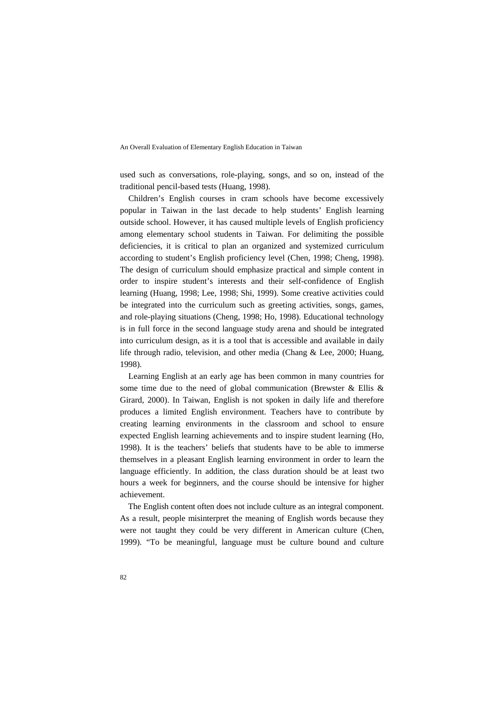used such as conversations, role-playing, songs, and so on, instead of the traditional pencil-based tests (Huang, 1998).

Children's English courses in cram schools have become excessively popular in Taiwan in the last decade to help students' English learning outside school. However, it has caused multiple levels of English proficiency among elementary school students in Taiwan. For delimiting the possible deficiencies, it is critical to plan an organized and systemized curriculum according to student's English proficiency level (Chen, 1998; Cheng, 1998). The design of curriculum should emphasize practical and simple content in order to inspire student's interests and their self-confidence of English learning (Huang, 1998; Lee, 1998; Shi, 1999). Some creative activities could be integrated into the curriculum such as greeting activities, songs, games, and role-playing situations (Cheng, 1998; Ho, 1998). Educational technology is in full force in the second language study arena and should be integrated into curriculum design, as it is a tool that is accessible and available in daily life through radio, television, and other media (Chang & Lee, 2000; Huang, 1998).

Learning English at an early age has been common in many countries for some time due to the need of global communication (Brewster & Ellis & Girard, 2000). In Taiwan, English is not spoken in daily life and therefore produces a limited English environment. Teachers have to contribute by creating learning environments in the classroom and school to ensure expected English learning achievements and to inspire student learning (Ho, 1998). It is the teachers' beliefs that students have to be able to immerse themselves in a pleasant English learning environment in order to learn the language efficiently. In addition, the class duration should be at least two hours a week for beginners, and the course should be intensive for higher achievement.

The English content often does not include culture as an integral component. As a result, people misinterpret the meaning of English words because they were not taught they could be very different in American culture (Chen, 1999). "To be meaningful, language must be culture bound and culture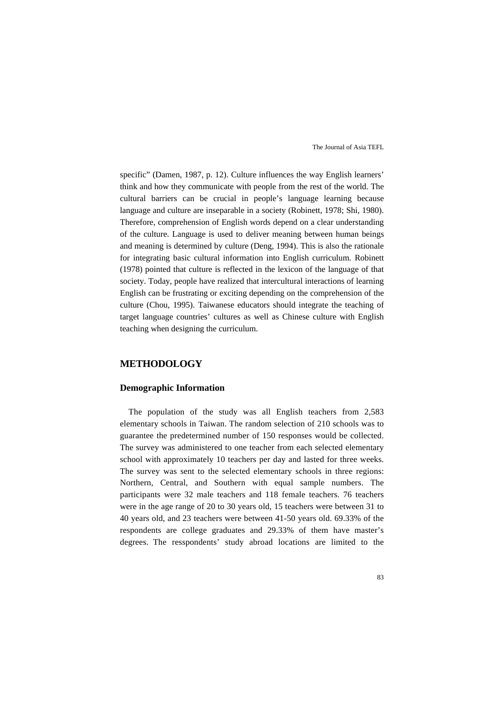specific" (Damen, 1987, p. 12). Culture influences the way English learners' think and how they communicate with people from the rest of the world. The cultural barriers can be crucial in people's language learning because language and culture are inseparable in a society (Robinett, 1978; Shi, 1980). Therefore, comprehension of English words depend on a clear understanding of the culture. Language is used to deliver meaning between human beings and meaning is determined by culture (Deng, 1994). This is also the rationale for integrating basic cultural information into English curriculum. Robinett (1978) pointed that culture is reflected in the lexicon of the language of that society. Today, people have realized that intercultural interactions of learning English can be frustrating or exciting depending on the comprehension of the culture (Chou, 1995). Taiwanese educators should integrate the teaching of target language countries' cultures as well as Chinese culture with English teaching when designing the curriculum.

## **METHODOLOGY**

### **Demographic Information**

The population of the study was all English teachers from 2,583 elementary schools in Taiwan. The random selection of 210 schools was to guarantee the predetermined number of 150 responses would be collected. The survey was administered to one teacher from each selected elementary school with approximately 10 teachers per day and lasted for three weeks. The survey was sent to the selected elementary schools in three regions: Northern, Central, and Southern with equal sample numbers. The participants were 32 male teachers and 118 female teachers. 76 teachers were in the age range of 20 to 30 years old, 15 teachers were between 31 to 40 years old, and 23 teachers were between 41-50 years old. 69.33% of the respondents are college graduates and 29.33% of them have master's degrees. The resspondents' study abroad locations are limited to the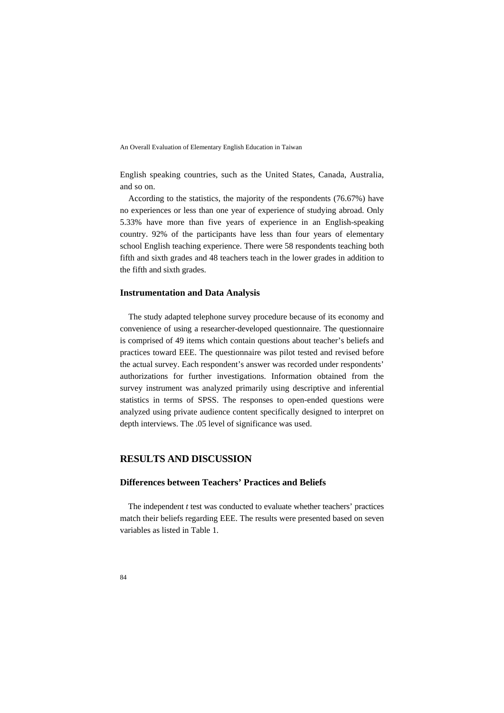English speaking countries, such as the United States, Canada, Australia, and so on.

According to the statistics, the majority of the respondents (76.67%) have no experiences or less than one year of experience of studying abroad. Only 5.33% have more than five years of experience in an English-speaking country. 92% of the participants have less than four years of elementary school English teaching experience. There were 58 respondents teaching both fifth and sixth grades and 48 teachers teach in the lower grades in addition to the fifth and sixth grades.

# **Instrumentation and Data Analysis**

The study adapted telephone survey procedure because of its economy and convenience of using a researcher-developed questionnaire. The questionnaire is comprised of 49 items which contain questions about teacher's beliefs and practices toward EEE. The questionnaire was pilot tested and revised before the actual survey. Each respondent's answer was recorded under respondents' authorizations for further investigations. Information obtained from the survey instrument was analyzed primarily using descriptive and inferential statistics in terms of SPSS. The responses to open-ended questions were analyzed using private audience content specifically designed to interpret on depth interviews. The .05 level of significance was used.

# **RESULTS AND DISCUSSION**

## **Differences between Teachers' Practices and Beliefs**

The independent *t* test was conducted to evaluate whether teachers' practices match their beliefs regarding EEE. The results were presented based on seven variables as listed in Table 1.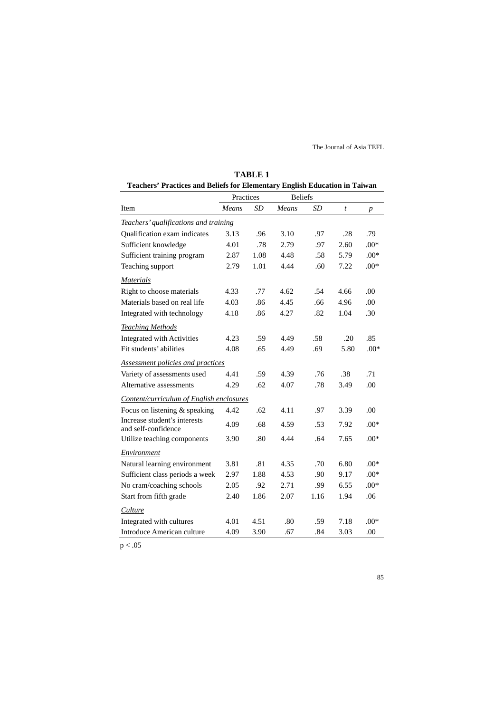| Teachers' Practices and Beliefs for Elementary English Education in Taiwan |           |      |                |      |                  |                  |
|----------------------------------------------------------------------------|-----------|------|----------------|------|------------------|------------------|
|                                                                            | Practices |      | <b>Beliefs</b> |      |                  |                  |
| Item                                                                       | Means     | SD   | Means          | SD   | $\boldsymbol{t}$ | $\boldsymbol{p}$ |
| Teachers' qualifications and training                                      |           |      |                |      |                  |                  |
| Qualification exam indicates                                               | 3.13      | .96  | 3.10           | .97  | .28              | .79              |
| Sufficient knowledge                                                       | 4.01      | .78  | 2.79           | .97  | 2.60             | $.00*$           |
| Sufficient training program                                                | 2.87      | 1.08 | 4.48           | .58  | 5.79             | $.00*$           |
| Teaching support                                                           | 2.79      | 1.01 | 4.44           | .60  | 7.22             | $.00*$           |
| <b>Materials</b>                                                           |           |      |                |      |                  |                  |
| Right to choose materials                                                  | 4.33      | .77  | 4.62           | .54  | 4.66             | .00              |
| Materials based on real life                                               | 4.03      | .86  | 4.45           | .66  | 4.96             | .00              |
| Integrated with technology                                                 | 4.18      | .86  | 4.27           | .82  | 1.04             | .30              |
| <b>Teaching Methods</b>                                                    |           |      |                |      |                  |                  |
| Integrated with Activities                                                 | 4.23      | .59  | 4.49           | .58  | .20              | .85              |
| Fit students' abilities                                                    | 4.08      | .65  | 4.49           | .69  | 5.80             | $.00*$           |
| <b>Assessment policies and practices</b>                                   |           |      |                |      |                  |                  |
| Variety of assessments used                                                | 4.41      | .59  | 4.39           | .76  | .38              | .71              |
| Alternative assessments                                                    | 4.29      | .62  | 4.07           | .78  | 3.49             | .00              |
| Content/curriculum of English enclosures                                   |           |      |                |      |                  |                  |
| Focus on listening & speaking                                              | 4.42      | .62  | 4.11           | .97  | 3.39             | .00              |
| Increase student's interests<br>and self-confidence                        | 4.09      | .68  | 4.59           | .53  | 7.92             | $.00*$           |
| Utilize teaching components                                                | 3.90      | .80  | 4.44           | .64  | 7.65             | $.00*$           |
| Environment                                                                |           |      |                |      |                  |                  |
| Natural learning environment                                               | 3.81      | .81  | 4.35           | .70  | 6.80             | $.00*$           |
| Sufficient class periods a week                                            | 2.97      | 1.88 | 4.53           | .90  | 9.17             | $.00*$           |
| No cram/coaching schools                                                   | 2.05      | .92  | 2.71           | .99  | 6.55             | $.00*$           |
| Start from fifth grade                                                     | 2.40      | 1.86 | 2.07           | 1.16 | 1.94             | .06              |
| Culture                                                                    |           |      |                |      |                  |                  |
| Integrated with cultures                                                   | 4.01      | 4.51 | .80            | .59  | 7.18             | $.00*$           |
| Introduce American culture                                                 | 4.09      | 3.90 | .67            | .84  | 3.03             | .00              |

| <b>TABLE 1</b>                                                             |
|----------------------------------------------------------------------------|
| Teachers' Practices and Beliefs for Elementary English Education in Taiwan |

 $p < .05$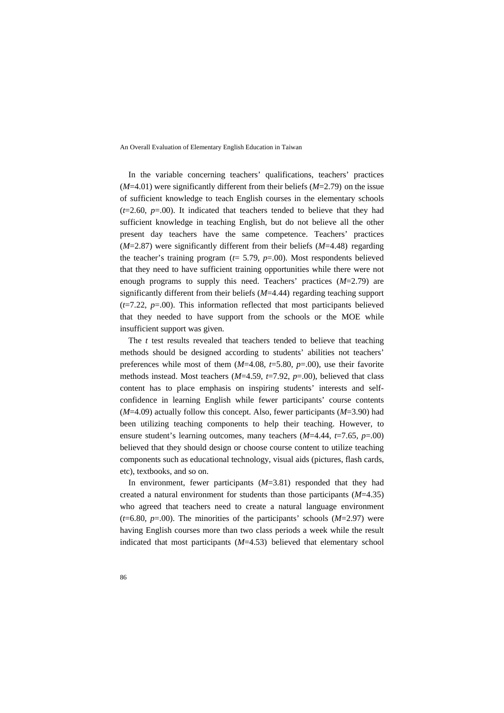In the variable concerning teachers' qualifications, teachers' practices (*M*=4.01) were significantly different from their beliefs (*M*=2.79) on the issue of sufficient knowledge to teach English courses in the elementary schools  $(t=2.60, p=.00)$ . It indicated that teachers tended to believe that they had sufficient knowledge in teaching English, but do not believe all the other present day teachers have the same competence. Teachers' practices (*M*=2.87) were significantly different from their beliefs (*M*=4.48) regarding the teacher's training program ( $t=$  5.79,  $p=$ .00). Most respondents believed that they need to have sufficient training opportunities while there were not enough programs to supply this need. Teachers' practices (*M*=2.79) are significantly different from their beliefs (*M*=4.44) regarding teaching support  $(t=7.22, p=.00)$ . This information reflected that most participants believed that they needed to have support from the schools or the MOE while insufficient support was given.

The *t* test results revealed that teachers tended to believe that teaching methods should be designed according to students' abilities not teachers' preferences while most of them (*M*=4.08, *t*=5.80, *p*=.00), use their favorite methods instead. Most teachers (*M*=4.59, *t*=7.92, *p*=.00), believed that class content has to place emphasis on inspiring students' interests and selfconfidence in learning English while fewer participants' course contents (*M*=4.09) actually follow this concept. Also, fewer participants (*M*=3.90) had been utilizing teaching components to help their teaching. However, to ensure student's learning outcomes, many teachers (*M*=4.44, *t*=7.65, *p*=.00) believed that they should design or choose course content to utilize teaching components such as educational technology, visual aids (pictures, flash cards, etc), textbooks, and so on.

In environment, fewer participants (*M*=3.81) responded that they had created a natural environment for students than those participants (*M*=4.35) who agreed that teachers need to create a natural language environment  $(t=6.80, p=.00)$ . The minorities of the participants' schools  $(M=2.97)$  were having English courses more than two class periods a week while the result indicated that most participants (*M*=4.53) believed that elementary school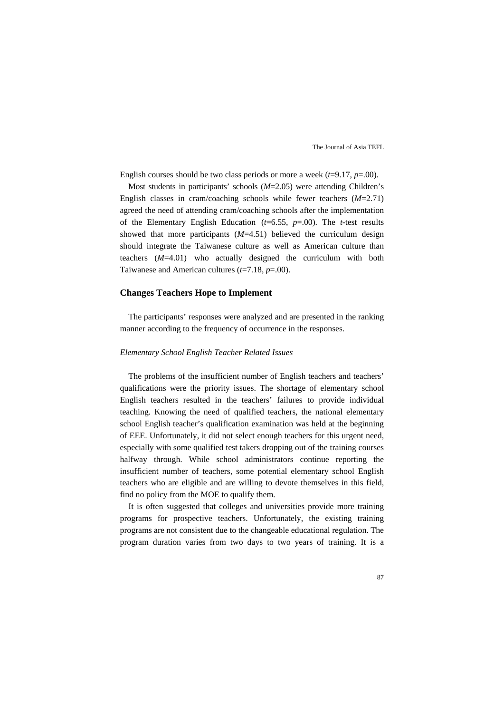English courses should be two class periods or more a week  $(t=9.17, p=.00)$ .

Most students in participants' schools (*M*=2.05) were attending Children's English classes in cram/coaching schools while fewer teachers (*M*=2.71) agreed the need of attending cram/coaching schools after the implementation of the Elementary English Education (*t*=6.55, *p*=.00). The *t*-test results showed that more participants (*M*=4.51) believed the curriculum design should integrate the Taiwanese culture as well as American culture than teachers (*M*=4.01) who actually designed the curriculum with both Taiwanese and American cultures (*t*=7.18, *p*=.00).

# **Changes Teachers Hope to Implement**

The participants' responses were analyzed and are presented in the ranking manner according to the frequency of occurrence in the responses.

#### *Elementary School English Teacher Related Issues*

The problems of the insufficient number of English teachers and teachers' qualifications were the priority issues. The shortage of elementary school English teachers resulted in the teachers' failures to provide individual teaching. Knowing the need of qualified teachers, the national elementary school English teacher's qualification examination was held at the beginning of EEE. Unfortunately, it did not select enough teachers for this urgent need, especially with some qualified test takers dropping out of the training courses halfway through. While school administrators continue reporting the insufficient number of teachers, some potential elementary school English teachers who are eligible and are willing to devote themselves in this field, find no policy from the MOE to qualify them.

It is often suggested that colleges and universities provide more training programs for prospective teachers. Unfortunately, the existing training programs are not consistent due to the changeable educational regulation. The program duration varies from two days to two years of training. It is a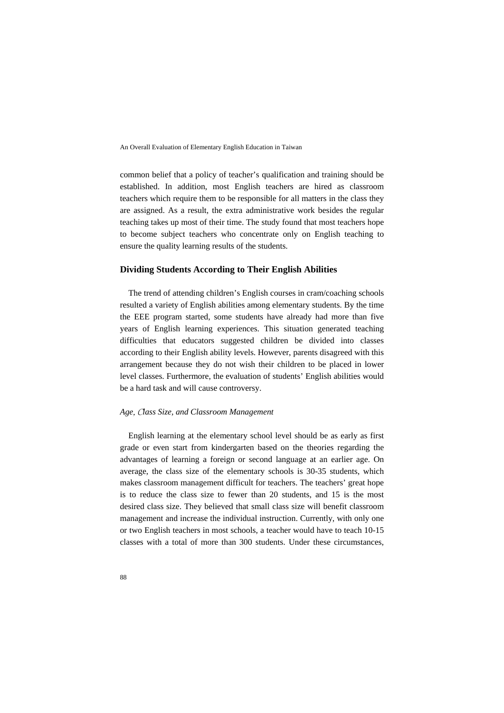common belief that a policy of teacher's qualification and training should be established. In addition, most English teachers are hired as classroom teachers which require them to be responsible for all matters in the class they are assigned. As a result, the extra administrative work besides the regular teaching takes up most of their time. The study found that most teachers hope to become subject teachers who concentrate only on English teaching to ensure the quality learning results of the students.

# **Dividing Students According to Their English Abilities**

The trend of attending children's English courses in cram/coaching schools resulted a variety of English abilities among elementary students. By the time the EEE program started, some students have already had more than five years of English learning experiences. This situation generated teaching difficulties that educators suggested children be divided into classes according to their English ability levels. However, parents disagreed with this arrangement because they do not wish their children to be placed in lower level classes. Furthermore, the evaluation of students' English abilities would be a hard task and will cause controversy.

#### *Age*, C*lass Size, and Classroom Management*

English learning at the elementary school level should be as early as first grade or even start from kindergarten based on the theories regarding the advantages of learning a foreign or second language at an earlier age. On average, the class size of the elementary schools is 30-35 students, which makes classroom management difficult for teachers. The teachers' great hope is to reduce the class size to fewer than 20 students, and 15 is the most desired class size. They believed that small class size will benefit classroom management and increase the individual instruction. Currently, with only one or two English teachers in most schools, a teacher would have to teach 10-15 classes with a total of more than 300 students. Under these circumstances,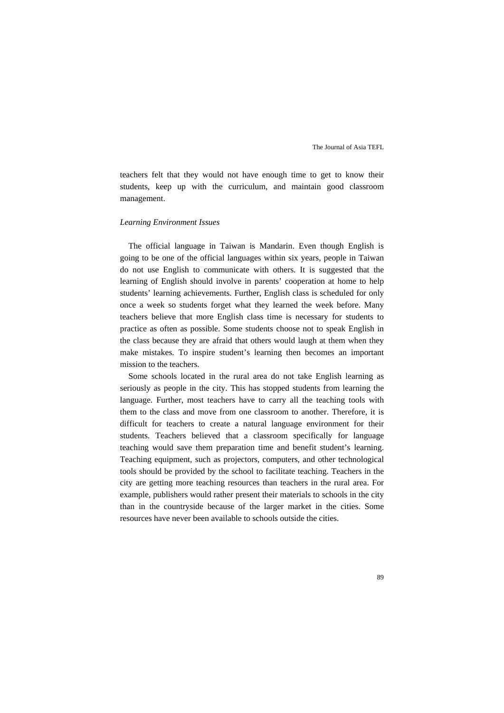teachers felt that they would not have enough time to get to know their students, keep up with the curriculum, and maintain good classroom management.

#### *Learning Environment Issues*

The official language in Taiwan is Mandarin. Even though English is going to be one of the official languages within six years, people in Taiwan do not use English to communicate with others. It is suggested that the learning of English should involve in parents' cooperation at home to help students' learning achievements. Further, English class is scheduled for only once a week so students forget what they learned the week before. Many teachers believe that more English class time is necessary for students to practice as often as possible. Some students choose not to speak English in the class because they are afraid that others would laugh at them when they make mistakes. To inspire student's learning then becomes an important mission to the teachers.

Some schools located in the rural area do not take English learning as seriously as people in the city. This has stopped students from learning the language. Further, most teachers have to carry all the teaching tools with them to the class and move from one classroom to another. Therefore, it is difficult for teachers to create a natural language environment for their students. Teachers believed that a classroom specifically for language teaching would save them preparation time and benefit student's learning. Teaching equipment, such as projectors, computers, and other technological tools should be provided by the school to facilitate teaching. Teachers in the city are getting more teaching resources than teachers in the rural area. For example, publishers would rather present their materials to schools in the city than in the countryside because of the larger market in the cities. Some resources have never been available to schools outside the cities.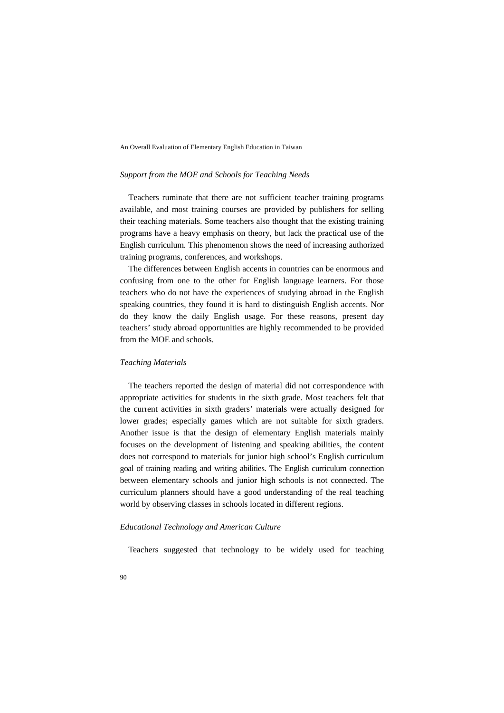#### *Support from the MOE and Schools for Teaching Needs*

Teachers ruminate that there are not sufficient teacher training programs available, and most training courses are provided by publishers for selling their teaching materials. Some teachers also thought that the existing training programs have a heavy emphasis on theory, but lack the practical use of the English curriculum. This phenomenon shows the need of increasing authorized training programs, conferences, and workshops.

The differences between English accents in countries can be enormous and confusing from one to the other for English language learners. For those teachers who do not have the experiences of studying abroad in the English speaking countries, they found it is hard to distinguish English accents. Nor do they know the daily English usage. For these reasons, present day teachers' study abroad opportunities are highly recommended to be provided from the MOE and schools.

#### *Teaching Materials*

The teachers reported the design of material did not correspondence with appropriate activities for students in the sixth grade. Most teachers felt that the current activities in sixth graders' materials were actually designed for lower grades; especially games which are not suitable for sixth graders. Another issue is that the design of elementary English materials mainly focuses on the development of listening and speaking abilities, the content does not correspond to materials for junior high school's English curriculum goal of training reading and writing abilities. The English curriculum connection between elementary schools and junior high schools is not connected. The curriculum planners should have a good understanding of the real teaching world by observing classes in schools located in different regions.

#### *Educational Technology and American Culture*

Teachers suggested that technology to be widely used for teaching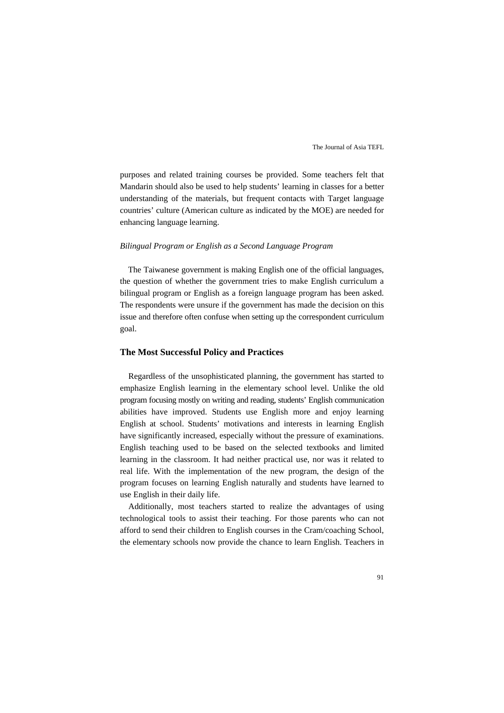purposes and related training courses be provided. Some teachers felt that Mandarin should also be used to help students' learning in classes for a better understanding of the materials, but frequent contacts with Target language countries' culture (American culture as indicated by the MOE) are needed for enhancing language learning.

#### *Bilingual Program or English as a Second Language Program*

The Taiwanese government is making English one of the official languages, the question of whether the government tries to make English curriculum a bilingual program or English as a foreign language program has been asked. The respondents were unsure if the government has made the decision on this issue and therefore often confuse when setting up the correspondent curriculum goal.

# **The Most Successful Policy and Practices**

Regardless of the unsophisticated planning, the government has started to emphasize English learning in the elementary school level. Unlike the old program focusing mostly on writing and reading, students' English communication abilities have improved. Students use English more and enjoy learning English at school. Students' motivations and interests in learning English have significantly increased, especially without the pressure of examinations. English teaching used to be based on the selected textbooks and limited learning in the classroom. It had neither practical use, nor was it related to real life. With the implementation of the new program, the design of the program focuses on learning English naturally and students have learned to use English in their daily life.

Additionally, most teachers started to realize the advantages of using technological tools to assist their teaching. For those parents who can not afford to send their children to English courses in the Cram/coaching School, the elementary schools now provide the chance to learn English. Teachers in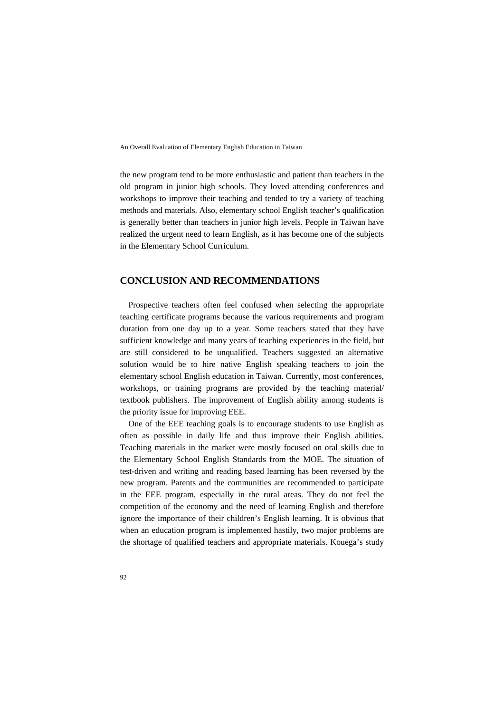the new program tend to be more enthusiastic and patient than teachers in the old program in junior high schools. They loved attending conferences and workshops to improve their teaching and tended to try a variety of teaching methods and materials. Also, elementary school English teacher's qualification is generally better than teachers in junior high levels. People in Taiwan have realized the urgent need to learn English, as it has become one of the subjects in the Elementary School Curriculum.

## **CONCLUSION AND RECOMMENDATIONS**

Prospective teachers often feel confused when selecting the appropriate teaching certificate programs because the various requirements and program duration from one day up to a year. Some teachers stated that they have sufficient knowledge and many years of teaching experiences in the field, but are still considered to be unqualified. Teachers suggested an alternative solution would be to hire native English speaking teachers to join the elementary school English education in Taiwan. Currently, most conferences, workshops, or training programs are provided by the teaching material/ textbook publishers. The improvement of English ability among students is the priority issue for improving EEE.

One of the EEE teaching goals is to encourage students to use English as often as possible in daily life and thus improve their English abilities. Teaching materials in the market were mostly focused on oral skills due to the Elementary School English Standards from the MOE. The situation of test-driven and writing and reading based learning has been reversed by the new program. Parents and the communities are recommended to participate in the EEE program, especially in the rural areas. They do not feel the competition of the economy and the need of learning English and therefore ignore the importance of their children's English learning. It is obvious that when an education program is implemented hastily, two major problems are the shortage of qualified teachers and appropriate materials. Kouega's study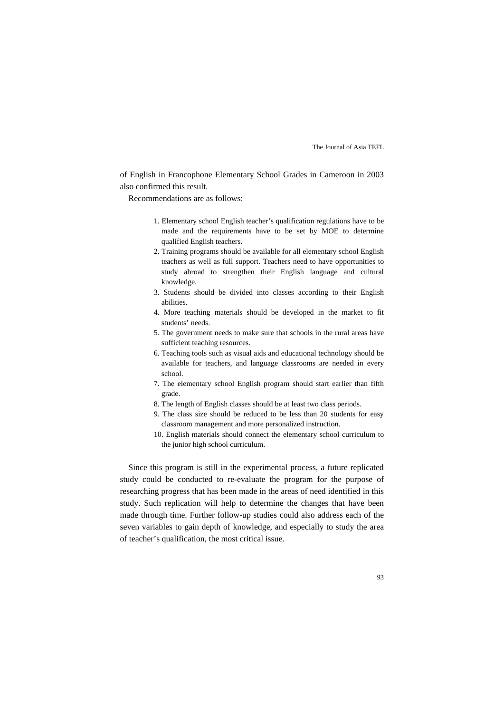of English in Francophone Elementary School Grades in Cameroon in 2003 also confirmed this result.

Recommendations are as follows:

- 1. Elementary school English teacher's qualification regulations have to be made and the requirements have to be set by MOE to determine qualified English teachers.
- 2. Training programs should be available for all elementary school English teachers as well as full support. Teachers need to have opportunities to study abroad to strengthen their English language and cultural knowledge.
- 3. Students should be divided into classes according to their English abilities.
- 4. More teaching materials should be developed in the market to fit students' needs.
- 5. The government needs to make sure that schools in the rural areas have sufficient teaching resources.
- 6. Teaching tools such as visual aids and educational technology should be available for teachers, and language classrooms are needed in every school.
- 7. The elementary school English program should start earlier than fifth grade.
- 8. The length of English classes should be at least two class periods.
- 9. The class size should be reduced to be less than 20 students for easy classroom management and more personalized instruction.
- 10. English materials should connect the elementary school curriculum to the junior high school curriculum.

Since this program is still in the experimental process, a future replicated study could be conducted to re-evaluate the program for the purpose of researching progress that has been made in the areas of need identified in this study. Such replication will help to determine the changes that have been made through time. Further follow-up studies could also address each of the seven variables to gain depth of knowledge, and especially to study the area of teacher's qualification, the most critical issue.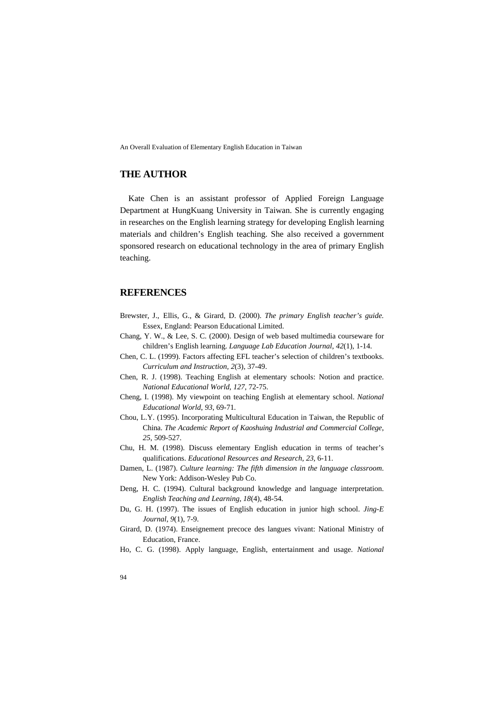# **THE AUTHOR**

Kate Chen is an assistant professor of Applied Foreign Language Department at HungKuang University in Taiwan. She is currently engaging in researches on the English learning strategy for developing English learning materials and children's English teaching. She also received a government sponsored research on educational technology in the area of primary English teaching.

# **REFERENCES**

- Brewster, J., Ellis, G., & Girard, D. (2000). *The primary English teacher's guide.* Essex, England: Pearson Educational Limited.
- Chang, Y. W., & Lee, S. C. (2000). Design of web based multimedia courseware for children's English learning. *Language Lab Education Journal, 42*(1), 1-14.
- Chen, C. L. (1999). Factors affecting EFL teacher's selection of children's textbooks. *Curriculum and Instruction, 2*(3), 37-49.
- Chen, R. J. (1998). Teaching English at elementary schools: Notion and practice. *National Educational World*, *127*, 72-75.
- Cheng, I. (1998). My viewpoint on teaching English at elementary school. *National Educational World*, *93*, 69-71.
- Chou, L.Y. (1995). Incorporating Multicultural Education in Taiwan, the Republic of China. *The Academic Report of Kaoshuing Industrial and Commercial College*, *25*, 509-527.
- Chu, H. M. (1998). Discuss elementary English education in terms of teacher's qualifications. *Educational Resources and Research, 23,* 6-11.
- Damen, L. (1987). *Culture learning: The fifth dimension in the language classroom*. New York: Addison-Wesley Pub Co.
- Deng, H. C. (1994). Cultural background knowledge and language interpretation. *English Teaching and Learning*, *18*(4), 48-54.
- Du, G. H. (1997). The issues of English education in junior high school. *Jing-E Journal*, *9*(1), 7-9.
- Girard, D. (1974). Enseignement precoce des langues vivant: National Ministry of Education, France.
- Ho, C. G. (1998). Apply language, English, entertainment and usage. *National*